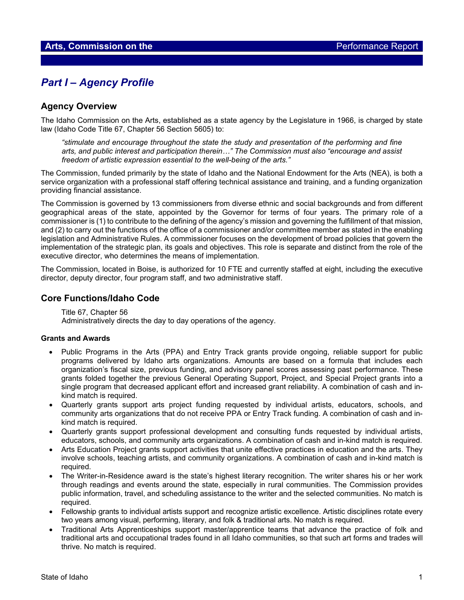## *Part I – Agency Profile*

## **Agency Overview**

The Idaho Commission on the Arts, established as a state agency by the Legislature in 1966, is charged by state law (Idaho Code Title 67, Chapter 56 Section 5605) to:

*"stimulate and encourage throughout the state the study and presentation of the performing and fine arts, and public interest and participation therein…" The Commission must also "encourage and assist freedom of artistic expression essential to the well-being of the arts."*

The Commission, funded primarily by the state of Idaho and the National Endowment for the Arts (NEA), is both a service organization with a professional staff offering technical assistance and training, and a funding organization providing financial assistance.

The Commission is governed by 13 commissioners from diverse ethnic and social backgrounds and from different geographical areas of the state, appointed by the Governor for terms of four years. The primary role of a commissioner is (1) to contribute to the defining of the agency's mission and governing the fulfillment of that mission, and (2) to carry out the functions of the office of a commissioner and/or committee member as stated in the enabling legislation and Administrative Rules. A commissioner focuses on the development of broad policies that govern the implementation of the strategic plan, its goals and objectives. This role is separate and distinct from the role of the executive director, who determines the means of implementation.

The Commission, located in Boise, is authorized for 10 FTE and currently staffed at eight, including the executive director, deputy director, four program staff, and two administrative staff.

### **Core Functions/Idaho Code**

Title 67, Chapter 56 Administratively directs the day to day operations of the agency.

#### **Grants and Awards**

- Public Programs in the Arts (PPA) and Entry Track grants provide ongoing, reliable support for public programs delivered by Idaho arts organizations. Amounts are based on a formula that includes each organization's fiscal size, previous funding, and advisory panel scores assessing past performance. These grants folded together the previous General Operating Support, Project, and Special Project grants into a single program that decreased applicant effort and increased grant reliability. A combination of cash and inkind match is required.
- Quarterly grants support arts project funding requested by individual artists, educators, schools, and community arts organizations that do not receive PPA or Entry Track funding. A combination of cash and inkind match is required.
- Quarterly grants support professional development and consulting funds requested by individual artists, educators, schools, and community arts organizations. A combination of cash and in-kind match is required.
- Arts Education Project grants support activities that unite effective practices in education and the arts. They involve schools, teaching artists, and community organizations. A combination of cash and in-kind match is required.
- The Writer-in-Residence award is the state's highest literary recognition. The writer shares his or her work through readings and events around the state, especially in rural communities. The Commission provides public information, travel, and scheduling assistance to the writer and the selected communities. No match is required.
- Fellowship grants to individual artists support and recognize artistic excellence. Artistic disciplines rotate every two years among visual, performing, literary, and folk & traditional arts. No match is required.
- Traditional Arts Apprenticeships support master/apprentice teams that advance the practice of folk and traditional arts and occupational trades found in all Idaho communities, so that such art forms and trades will thrive. No match is required.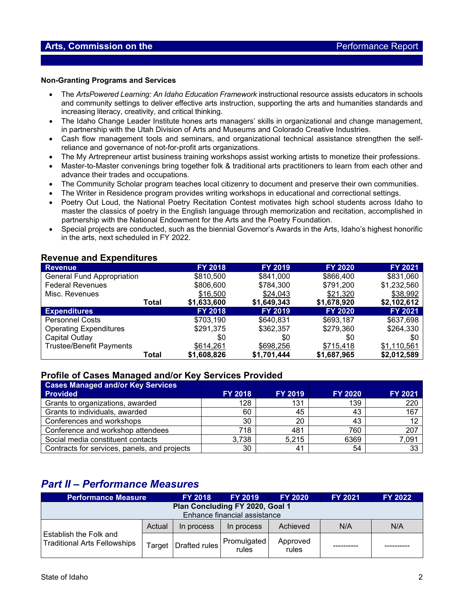## **Arts, Commission on the** *Performance Report*

#### **Non-Granting Programs and Services**

- The *ArtsPowered Learning: An Idaho Education Framework* instructional resource assists educators in schools and community settings to deliver effective arts instruction, supporting the arts and humanities standards and increasing literacy, creativity, and critical thinking.
- The Idaho Change Leader Institute hones arts managers' skills in organizational and change management, in partnership with the Utah Division of Arts and Museums and Colorado Creative Industries.
- Cash flow management tools and seminars, and organizational technical assistance strengthen the selfreliance and governance of not-for-profit arts organizations.
- The My Artrepreneur artist business training workshops assist working artists to monetize their professions.
- Master-to-Master convenings bring together folk & traditional arts practitioners to learn from each other and advance their trades and occupations.
- The Community Scholar program teaches local citizenry to document and preserve their own communities.
- The Writer in Residence program provides writing workshops in educational and correctional settings.
- Poetry Out Loud, the National Poetry Recitation Contest motivates high school students across Idaho to master the classics of poetry in the English language through memorization and recitation, accomplished in partnership with the National Endowment for the Arts and the Poetry Foundation.
- Special projects are conducted, such as the biennial Governor's Awards in the Arts, Idaho's highest honorific in the arts, next scheduled in FY 2022.

#### **Revenue and Expenditures**

| <b>Revenue</b>                    |       | <b>FY 2018</b> | <b>FY 2019</b> | <b>FY 2020</b> | <b>FY 2021</b> |
|-----------------------------------|-------|----------------|----------------|----------------|----------------|
| <b>General Fund Appropriation</b> |       | \$810,500      | \$841,000      | \$866,400      | \$831,060      |
| <b>Federal Revenues</b>           |       | \$806,600      | \$784,300      | \$791,200      | \$1,232,560    |
| Misc. Revenues                    |       | \$16,500       | \$24,043       | \$21,320       | \$38,992       |
|                                   | Total | \$1,633,600    | \$1,649,343    | \$1,678,920    | \$2,102,612    |
| <b>Expenditures</b>               |       | <b>FY 2018</b> | <b>FY 2019</b> | <b>FY 2020</b> | <b>FY 2021</b> |
| <b>Personnel Costs</b>            |       | \$703,190      | \$640,831      | \$693,187      | \$637,698      |
| <b>Operating Expenditures</b>     |       | \$291,375      | \$362,357      | \$279,360      | \$264,330      |
| Capital Outlay                    |       | \$0            | \$0            | \$0            | \$0            |
| <b>Trustee/Benefit Payments</b>   |       | \$614,261      | \$698,256      | \$715,418      | \$1,110,561    |
|                                   | Total | \$1,608,826    | \$1,701,444    | \$1,687,965    | \$2,012,589    |

### **Profile of Cases Managed and/or Key Services Provided**

| <b>Cases Managed and/or Key Services</b>     |                |                |                |         |
|----------------------------------------------|----------------|----------------|----------------|---------|
| <b>Provided</b>                              | <b>FY 2018</b> | <b>FY 2019</b> | <b>FY 2020</b> | FY 2021 |
| Grants to organizations, awarded             | 128            | 131            | 139            | 220     |
| Grants to individuals, awarded               | 60             | 45             | 43             | 167     |
| Conferences and workshops                    | 30             | 20             | 43             |         |
| Conference and workshop attendees            | 718            | 481            | 760            | 207     |
| Social media constituent contacts            | 3,738          | 5,215          | 6369           | 7,091   |
| Contracts for services, panels, and projects | 30             | 41             | 54             | 33      |

# *Part II – Performance Measures*

| <b>Performance Measure</b><br><b>FY 2018</b>                    |        | <b>FY 2019</b> | <b>FY 2020</b>       | <b>FY 2021</b>    | <b>FY 2022</b> |     |
|-----------------------------------------------------------------|--------|----------------|----------------------|-------------------|----------------|-----|
| Plan Concluding FY 2020, Goal 1<br>Enhance financial assistance |        |                |                      |                   |                |     |
| Establish the Folk and<br><b>Traditional Arts Fellowships</b>   | Actual | In process     | In process           | Achieved          | N/A            | N/A |
|                                                                 | Target | Drafted rules  | Promulgated<br>rules | Approved<br>rules |                |     |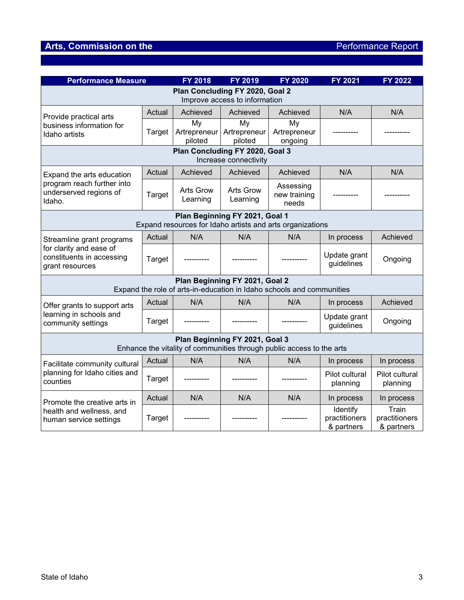# **Arts, Commission on the** *Performance Report*

| <b>Performance Measure</b>                                                                              |               | FY 2018                      | <b>FY 2019</b>        | FY 2020                            | FY 2021                                 | <b>FY 2022</b>                       |  |
|---------------------------------------------------------------------------------------------------------|---------------|------------------------------|-----------------------|------------------------------------|-----------------------------------------|--------------------------------------|--|
| Plan Concluding FY 2020, Goal 2                                                                         |               |                              |                       |                                    |                                         |                                      |  |
| Improve access to information                                                                           |               |                              |                       |                                    |                                         |                                      |  |
| Provide practical arts<br>business information for<br>Idaho artists                                     | Actual        | Achieved                     | Achieved              | Achieved                           | N/A                                     | N/A                                  |  |
|                                                                                                         | Target        | My<br>Artrepreneur           | My<br>Artrepreneur    | My<br>Artrepreneur                 |                                         |                                      |  |
|                                                                                                         |               | piloted                      | piloted<br>ongoing    |                                    |                                         |                                      |  |
| Plan Concluding FY 2020, Goal 3                                                                         |               |                              |                       |                                    |                                         |                                      |  |
|                                                                                                         |               |                              | Increase connectivity |                                    |                                         |                                      |  |
| Expand the arts education<br>program reach further into<br>underserved regions of<br>Idaho.             | Actual        | Achieved                     | Achieved              | Achieved                           | N/A                                     | N/A                                  |  |
|                                                                                                         | Target        | <b>Arts Grow</b><br>Learning | Arts Grow<br>Learning | Assessing<br>new training<br>needs |                                         |                                      |  |
| Plan Beginning FY 2021, Goal 1<br>Expand resources for Idaho artists and arts organizations             |               |                              |                       |                                    |                                         |                                      |  |
| Streamline grant programs<br>for clarity and ease of<br>constituents in accessing<br>grant resources    | Actual        | N/A                          | N/A                   | N/A                                | In process                              | Achieved                             |  |
|                                                                                                         | Target        |                              |                       |                                    | Update grant<br>guidelines              | Ongoing                              |  |
| Plan Beginning FY 2021, Goal 2                                                                          |               |                              |                       |                                    |                                         |                                      |  |
| Expand the role of arts-in-education in Idaho schools and communities                                   |               |                              |                       |                                    |                                         |                                      |  |
| Offer grants to support arts<br>learning in schools and<br>community settings                           | Actual        | N/A                          | N/A                   | N/A                                | In process                              | Achieved                             |  |
|                                                                                                         | <b>Target</b> |                              |                       |                                    | Update grant<br>guidelines              | Ongoing                              |  |
| Plan Beginning FY 2021, Goal 3<br>Enhance the vitality of communities through public access to the arts |               |                              |                       |                                    |                                         |                                      |  |
| Facilitate community cultural<br>planning for Idaho cities and<br>counties                              | Actual        | N/A                          | N/A                   | N/A                                | In process                              | In process                           |  |
|                                                                                                         | <b>Target</b> |                              |                       |                                    | Pilot cultural<br>planning              | Pilot cultural<br>planning           |  |
| Promote the creative arts in<br>health and wellness, and<br>human service settings                      | Actual        | N/A                          | N/A                   | N/A                                | In process                              | In process                           |  |
|                                                                                                         | <b>Target</b> |                              |                       |                                    | Identify<br>practitioners<br>& partners | Train<br>practitioners<br>& partners |  |